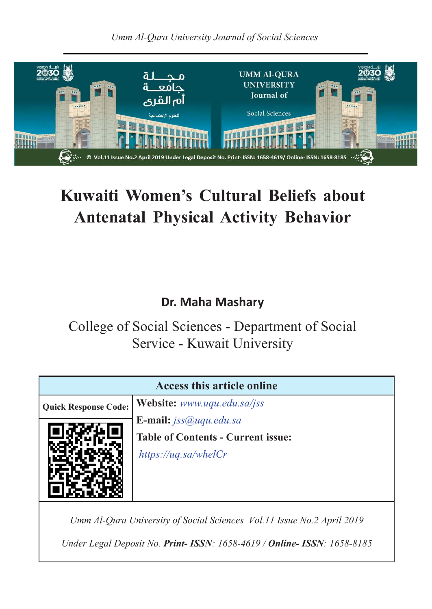*Umm Al-Qura University Journal of Social Sciences*



# **Kuwaiti Women's Cultural Beliefs about Antenatal Physical Activity Behavior**

### **Dr. Maha Mashary**

College of Social Sciences - Department of Social Service - Kuwait University

| <b>Access this article online</b>         |
|-------------------------------------------|
| Website: www.uqu.edu.sa/jss               |
| <b>E-mail:</b> $iss@uqu.edu.sa$           |
| <b>Table of Contents - Current issue:</b> |
| https://uq.sa/wheelCr                     |
|                                           |
|                                           |
|                                           |

*Umm Al-Qura University of Social Sciences Vol.11 Issue No.2 April 2019*

*Under Legal Deposit No. Print- ISSN: 1658-4619 / Online- ISSN: 1658-8185*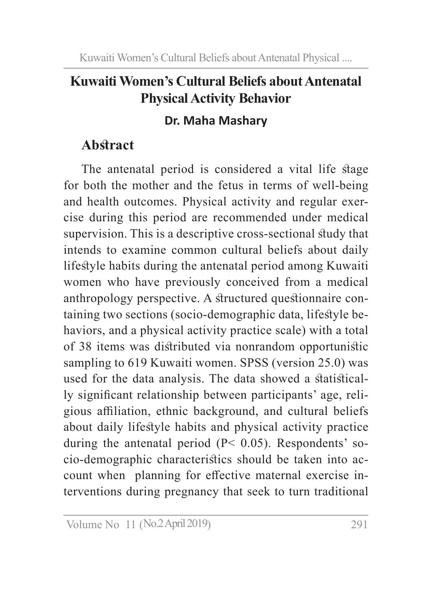### **Kuwaiti Women's Cultural Beliefs about Antenatal Physical Activity Behavior**

### **Dr. Maha Mashary**

## **Abstract**

The antenatal period is considered a vital life stage for both the mother and the fetus in terms of well-being and health outcomes. Physical activity and regular exercise during this period are recommended under medical supervision. This is a descriptive cross-sectional study that intends to examine common cultural beliefs about daily lifestyle habits during the antenatal period among Kuwaiti women who have previously conceived from a medical anthropology perspective. A structured questionnaire containing two sections (socio-demographic data, lifestyle behaviors, and a physical activity practice scale) with a total of 38 items was distributed via nonrandom opportunistic sampling to 619 Kuwaiti women. SPSS (version 25.0) was used for the data analysis. The data showed a statistically significant relationship between participants' age, religious affiliation, ethnic background, and cultural beliefs about daily lifestyle habits and physical activity practice during the antenatal period  $(P< 0.05)$ . Respondents' socio-demographic characteristics should be taken into account when planning for effective maternal exercise interventions during pregnancy that seek to turn traditional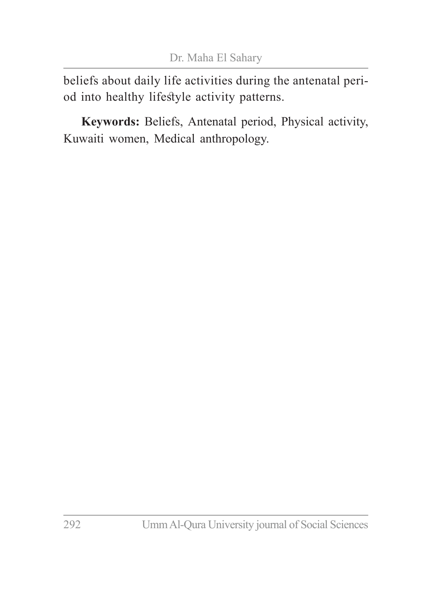beliefs about daily life activities during the antenatal period into healthy lifestyle activity patterns.

**Keywords:** Beliefs, Antenatal period, Physical activity, Kuwaiti women, Medical anthropology.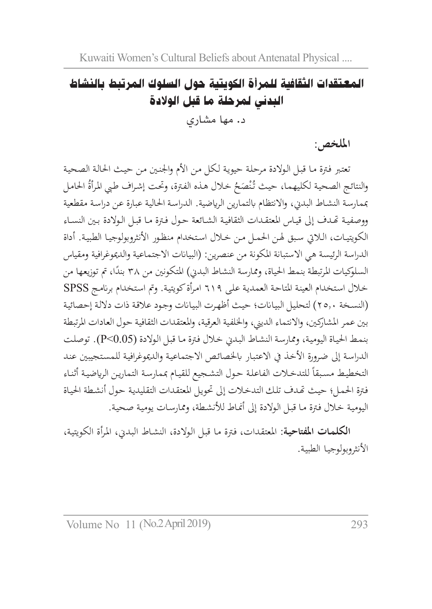## المعتقدات الثقافية للمرأة الكويتية حول السلوك المرتبط بالنشاط البدني لمرحلة ما قبل الوالدة د. مها مشاري

**امللخص:**

تعتبر فـترة مـا قبـل الـولادة مرحلة حيويـة لـكل مـن الأم والجنـين مـن حيـث الحالـة الصحيـة والنتائج الصحية لكليهما، حيث تُنْصَحُ خلال هذه الفترة، وتحت إشراف طبي المرأة الحامل<br>. مبمارسـة النشـاط البدين، واالنتظام ابلتمارين الرايضية. الدراسـة احلالية عبارة عن دراسـة مقطعية ووصفيـة هتـدف إىل قيـاس املعتقـدات الثقافيـة الشـائعة حـول فـرة مـا قبـل الـوالدة بـن النسـاء الكويتيـات، الـايت سـبق هلـن احلمـل مـن خـال اسـتخدام منظـور األنثروبولوجيـا الطبيـة. أداة الدراسة الرئيسة هي الاستبانة المكونة من عنصرين: (البيانات الاجتماعية والديموغرافية ومقياس السلوكيات المرتبطة بنمط الحياة، وممارسة النشاط البديي) المتكونين من ٣٨ بندًا، تم توزيعها من خـال اسـتخدام العينـة املتاحـة العمديـة علـى 619 امـرأة كويتيـة. ومت اسـتخدام برانمـج SPSS )النسـخة 25.0( لتحليـل البيـاانت؛ حيـث أظهـرت البيـاانت وجـود عالقـة ذات داللـة إحصائيـة بني عمر املشاركني، واالنتماء الديين، واخللفية العرقية، واملعتقدات الثقافية حول العادات املرتبطة بنمـط احليـاة اليوميـة، وممارسـة النشـاط البـدين خـال فـرة مـا قبـل الـوالدة )0.05>P). توصلـت الدراسة إلى ضرورة الأخذ في الاعتبار بالخصائص الاجتماعية والديموغرافية للمستجيبين عند التخطيط مسبقاً للتدخلات الفاعلة حول التشجيع للقيام بممارسة التمارين الرياضية أثناء فـرة احلمـل؛ حيـث هتـدف تلـك التدخـات إىل حتويـل املعتقـدات التقليديـة حـول أنشـطة احليـاة اليومية خلال فترة مـا قبـل الـولادة إلى أنمـاط للأنشطة، وممارسـات يوميـة صحية.

**الكلمـات املفتاحيـة:** املعتقـدات، فترة مـا قبـل الـوالدة، النشـاط البـدين، املـرأة الكويتيـة، األنثروبولوجيـا الطبيـة.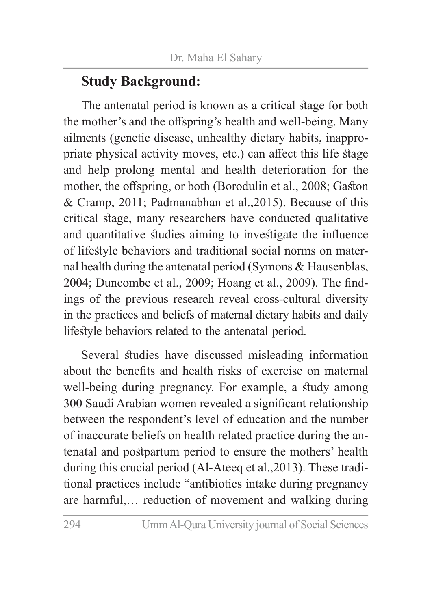### **Study Background:**

The antenatal period is known as a critical stage for both the mother's and the offspring's health and well-being. Many ailments (genetic disease, unhealthy dietary habits, inappropriate physical activity moves, etc.) can affect this life stage and help prolong mental and health deterioration for the mother, the offspring, or both (Borodulin et al., 2008; Gaston & Cramp, 2011; Padmanabhan et al.,2015). Because of this critical stage, many researchers have conducted qualitative and quantitative studies aiming to investigate the influence of lifestyle behaviors and traditional social norms on maternal health during the antenatal period (Symons & Hausenblas, 2004; Duncombe et al., 2009; Hoang et al., 2009). The findings of the previous research reveal cross-cultural diversity in the practices and beliefs of maternal dietary habits and daily lifestyle behaviors related to the antenatal period.

Several studies have discussed misleading information about the benefits and health risks of exercise on maternal well-being during pregnancy. For example, a study among 300 Saudi Arabian women revealed a significant relationship between the respondent's level of education and the number of inaccurate beliefs on health related practice during the antenatal and postpartum period to ensure the mothers' health during this crucial period (Al-Ateeq et al.,2013). These traditional practices include "antibiotics intake during pregnancy are harmful,… reduction of movement and walking during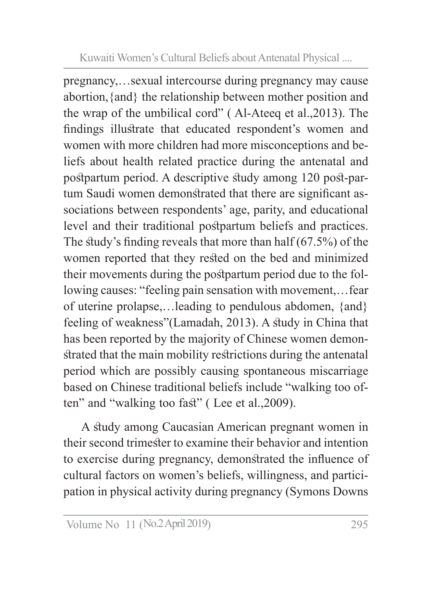pregnancy,…sexual intercourse during pregnancy may cause abortion,{and} the relationship between mother position and the wrap of the umbilical cord" ( Al-Ateeq et al.,2013). The findings illustrate that educated respondent's women and women with more children had more misconceptions and beliefs about health related practice during the antenatal and postpartum period. A descriptive study among 120 post-partum Saudi women demonstrated that there are significant associations between respondents' age, parity, and educational level and their traditional postpartum beliefs and practices. The study's finding reveals that more than half (67.5%) of the women reported that they rested on the bed and minimized their movements during the postpartum period due to the following causes: "feeling pain sensation with movement,…fear of uterine prolapse,…leading to pendulous abdomen, {and} feeling of weakness"(Lamadah, 2013). A study in China that has been reported by the majority of Chinese women demonstrated that the main mobility restrictions during the antenatal period which are possibly causing spontaneous miscarriage based on Chinese traditional beliefs include "walking too often" and "walking too fast" ( Lee et al.,2009).

A study among Caucasian American pregnant women in their second trimester to examine their behavior and intention to exercise during pregnancy, demonstrated the influence of cultural factors on women's beliefs, willingness, and participation in physical activity during pregnancy (Symons Downs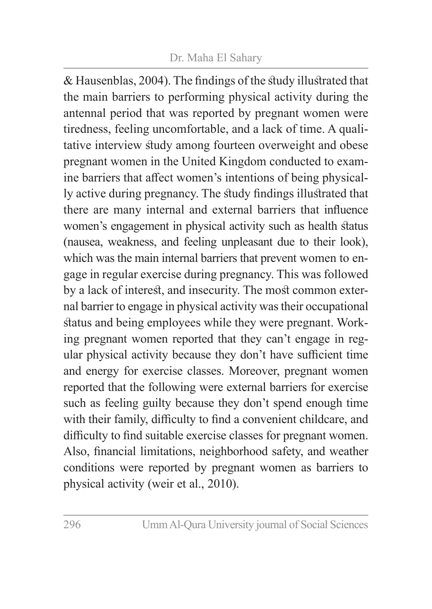#### Dr. Maha El Sahary

& Hausenblas, 2004). The findings of the study illustrated that the main barriers to performing physical activity during the antennal period that was reported by pregnant women were tiredness, feeling uncomfortable, and a lack of time. A qualitative interview study among fourteen overweight and obese pregnant women in the United Kingdom conducted to examine barriers that affect women's intentions of being physically active during pregnancy. The study findings illustrated that there are many internal and external barriers that influence women's engagement in physical activity such as health status (nausea, weakness, and feeling unpleasant due to their look), which was the main internal barriers that prevent women to engage in regular exercise during pregnancy. This was followed by a lack of interest, and insecurity. The most common external barrier to engage in physical activity was their occupational status and being employees while they were pregnant. Working pregnant women reported that they can't engage in regular physical activity because they don't have sufficient time and energy for exercise classes. Moreover, pregnant women reported that the following were external barriers for exercise such as feeling guilty because they don't spend enough time with their family, difficulty to find a convenient childcare, and difficulty to find suitable exercise classes for pregnant women. Also, financial limitations, neighborhood safety, and weather conditions were reported by pregnant women as barriers to physical activity (weir et al., 2010).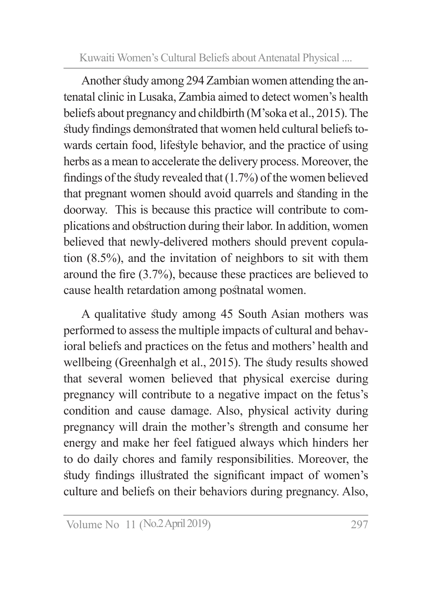Another study among 294 Zambian women attending the antenatal clinic in Lusaka, Zambia aimed to detect women's health beliefs about pregnancy and childbirth (M'soka et al., 2015). The study findings demonstrated that women held cultural beliefs towards certain food, lifestyle behavior, and the practice of using herbs as a mean to accelerate the delivery process. Moreover, the findings of the study revealed that (1.7%) of the women believed that pregnant women should avoid quarrels and standing in the doorway. This is because this practice will contribute to complications and obstruction during their labor. In addition, women believed that newly-delivered mothers should prevent copulation (8.5%), and the invitation of neighbors to sit with them around the fire (3.7%), because these practices are believed to cause health retardation among postnatal women.

A qualitative study among 45 South Asian mothers was performed to assess the multiple impacts of cultural and behavioral beliefs and practices on the fetus and mothers' health and wellbeing (Greenhalgh et al., 2015). The study results showed that several women believed that physical exercise during pregnancy will contribute to a negative impact on the fetus's condition and cause damage. Also, physical activity during pregnancy will drain the mother's strength and consume her energy and make her feel fatigued always which hinders her to do daily chores and family responsibilities. Moreover, the study findings illustrated the significant impact of women's culture and beliefs on their behaviors during pregnancy. Also,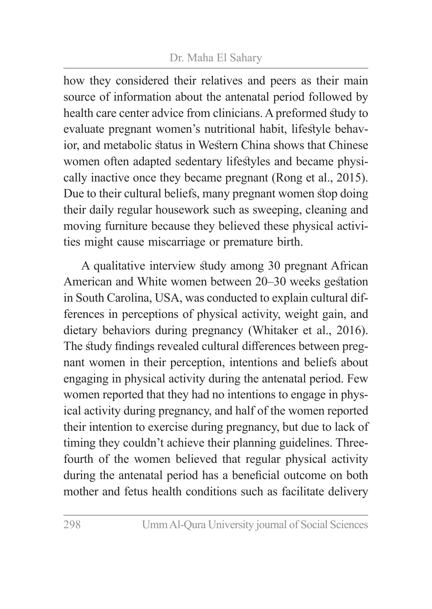#### Dr. Maha El Sahary

how they considered their relatives and peers as their main source of information about the antenatal period followed by health care center advice from clinicians. A preformed study to evaluate pregnant women's nutritional habit, lifestyle behavior, and metabolic status in Western China shows that Chinese women often adapted sedentary lifestyles and became physically inactive once they became pregnant (Rong et al., 2015). Due to their cultural beliefs, many pregnant women stop doing their daily regular housework such as sweeping, cleaning and moving furniture because they believed these physical activities might cause miscarriage or premature birth.

A qualitative interview study among 30 pregnant African American and White women between 20–30 weeks gestation in South Carolina, USA, was conducted to explain cultural differences in perceptions of physical activity, weight gain, and dietary behaviors during pregnancy (Whitaker et al., 2016). The study findings revealed cultural differences between pregnant women in their perception, intentions and beliefs about engaging in physical activity during the antenatal period. Few women reported that they had no intentions to engage in physical activity during pregnancy, and half of the women reported their intention to exercise during pregnancy, but due to lack of timing they couldn't achieve their planning guidelines. Threefourth of the women believed that regular physical activity during the antenatal period has a beneficial outcome on both mother and fetus health conditions such as facilitate delivery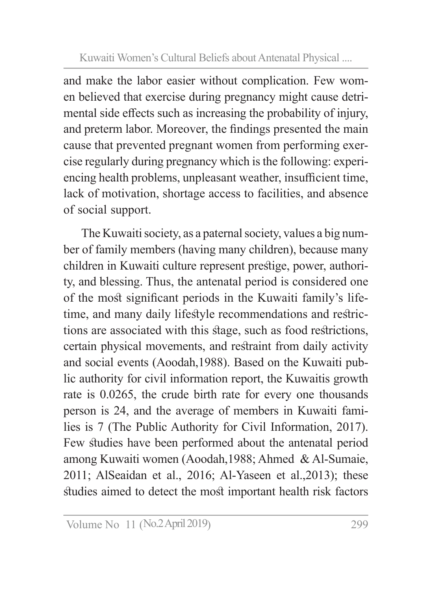and make the labor easier without complication. Few women believed that exercise during pregnancy might cause detrimental side effects such as increasing the probability of injury, and preterm labor. Moreover, the findings presented the main cause that prevented pregnant women from performing exercise regularly during pregnancy which is the following: experiencing health problems, unpleasant weather, insufficient time, lack of motivation, shortage access to facilities, and absence of social support.

The Kuwaiti society, as a paternal society, values a big number of family members (having many children), because many children in Kuwaiti culture represent prestige, power, authority, and blessing. Thus, the antenatal period is considered one of the most significant periods in the Kuwaiti family's lifetime, and many daily lifestyle recommendations and restrictions are associated with this stage, such as food restrictions, certain physical movements, and restraint from daily activity and social events (Aoodah,1988). Based on the Kuwaiti public authority for civil information report, the Kuwaitis growth rate is 0.0265, the crude birth rate for every one thousands person is 24, and the average of members in Kuwaiti families is 7 (The Public Authority for Civil Information, 2017). Few studies have been performed about the antenatal period among Kuwaiti women (Aoodah,1988; Ahmed & Al-Sumaie, 2011; AlSeaidan et al., 2016; Al-Yaseen et al.,2013); these studies aimed to detect the most important health risk factors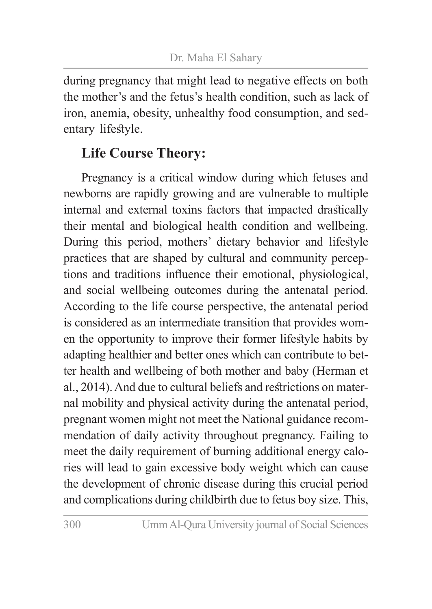during pregnancy that might lead to negative effects on both the mother's and the fetus's health condition, such as lack of iron, anemia, obesity, unhealthy food consumption, and sedentary lifestyle.

## **Life Course Theory:**

Pregnancy is a critical window during which fetuses and newborns are rapidly growing and are vulnerable to multiple internal and external toxins factors that impacted drastically their mental and biological health condition and wellbeing. During this period, mothers' dietary behavior and lifestyle practices that are shaped by cultural and community perceptions and traditions influence their emotional, physiological, and social wellbeing outcomes during the antenatal period. According to the life course perspective, the antenatal period is considered as an intermediate transition that provides women the opportunity to improve their former lifestyle habits by adapting healthier and better ones which can contribute to better health and wellbeing of both mother and baby (Herman et al., 2014). And due to cultural beliefs and restrictions on maternal mobility and physical activity during the antenatal period, pregnant women might not meet the National guidance recommendation of daily activity throughout pregnancy. Failing to meet the daily requirement of burning additional energy calories will lead to gain excessive body weight which can cause the development of chronic disease during this crucial period and complications during childbirth due to fetus boy size. This,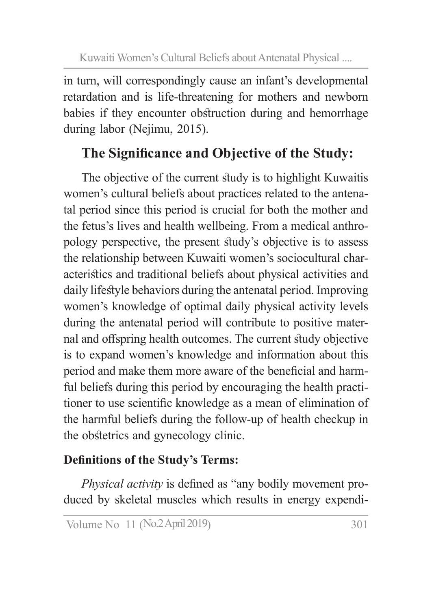in turn, will correspondingly cause an infant's developmental retardation and is life-threatening for mothers and newborn babies if they encounter obstruction during and hemorrhage during labor (Nejimu, 2015).

# **The Significance and Objective of the Study:**

The objective of the current study is to highlight Kuwaitis women's cultural beliefs about practices related to the antenatal period since this period is crucial for both the mother and the fetus's lives and health wellbeing. From a medical anthropology perspective, the present study's objective is to assess the relationship between Kuwaiti women's sociocultural characteristics and traditional beliefs about physical activities and daily lifestyle behaviors during the antenatal period. Improving women's knowledge of optimal daily physical activity levels during the antenatal period will contribute to positive maternal and offspring health outcomes. The current study objective is to expand women's knowledge and information about this period and make them more aware of the beneficial and harmful beliefs during this period by encouraging the health practitioner to use scientific knowledge as a mean of elimination of the harmful beliefs during the follow-up of health checkup in the obstetrics and gynecology clinic.

### **Definitions of the Study's Terms:**

*Physical activity* is defined as "any bodily movement produced by skeletal muscles which results in energy expendi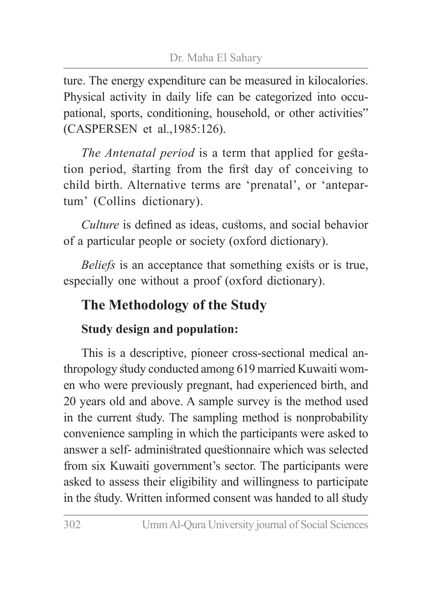ture. The energy expenditure can be measured in kilocalories. Physical activity in daily life can be categorized into occupational, sports, conditioning, household, or other activities" (CASPERSEN et al.,1985:126).

*The Antenatal period* is a term that applied for gestation period, starting from the first day of conceiving to child birth. Alternative terms are 'prenatal', or 'antepartum' (Collins dictionary).

*Culture* is defined as ideas, customs, and social behavior of a particular people or society (oxford dictionary).

*Beliefs* is an acceptance that something exists or is true, especially one without a proof (oxford dictionary).

## **The Methodology of the Study**

#### **Study design and population:**

This is a descriptive, pioneer cross-sectional medical anthropology study conducted among 619 married Kuwaiti women who were previously pregnant, had experienced birth, and 20 years old and above. A sample survey is the method used in the current study. The sampling method is nonprobability convenience sampling in which the participants were asked to answer a self- administrated questionnaire which was selected from six Kuwaiti government's sector. The participants were asked to assess their eligibility and willingness to participate in the study. Written informed consent was handed to all study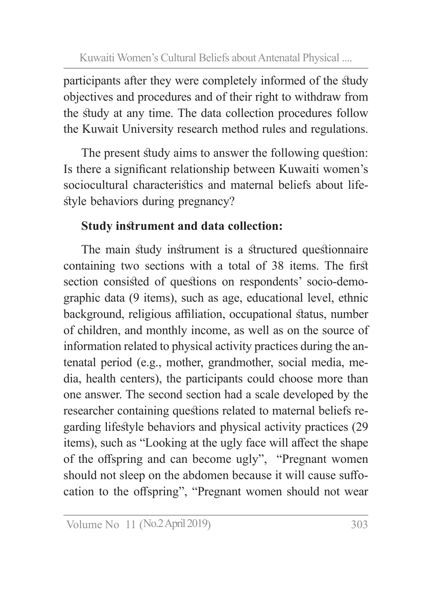participants after they were completely informed of the study objectives and procedures and of their right to withdraw from the study at any time. The data collection procedures follow the Kuwait University research method rules and regulations.

The present study aims to answer the following question: Is there a significant relationship between Kuwaiti women's sociocultural characteristics and maternal beliefs about lifestyle behaviors during pregnancy?

### **Study instrument and data collection:**

The main study instrument is a structured questionnaire containing two sections with a total of 38 items. The first section consisted of questions on respondents' socio-demographic data (9 items), such as age, educational level, ethnic background, religious affiliation, occupational status, number of children, and monthly income, as well as on the source of information related to physical activity practices during the antenatal period (e.g., mother, grandmother, social media, media, health centers), the participants could choose more than one answer. The second section had a scale developed by the researcher containing questions related to maternal beliefs regarding lifestyle behaviors and physical activity practices (29 items), such as "Looking at the ugly face will affect the shape of the offspring and can become ugly", "Pregnant women should not sleep on the abdomen because it will cause suffocation to the offspring", "Pregnant women should not wear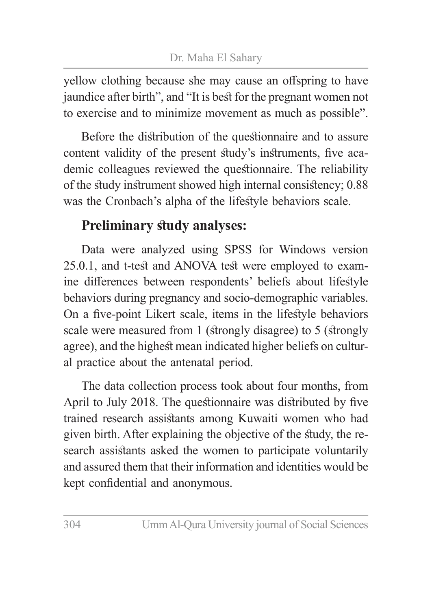yellow clothing because she may cause an offspring to have jaundice after birth", and "It is best for the pregnant women not to exercise and to minimize movement as much as possible".

Before the distribution of the questionnaire and to assure content validity of the present study's instruments, five academic colleagues reviewed the questionnaire. The reliability of the study instrument showed high internal consistency; 0.88 was the Cronbach's alpha of the lifestyle behaviors scale.

### **Preliminary study analyses:**

Data were analyzed using SPSS for Windows version 25.0.1, and t-test and ANOVA test were employed to examine differences between respondents' beliefs about lifestyle behaviors during pregnancy and socio-demographic variables. On a five-point Likert scale, items in the lifestyle behaviors scale were measured from 1 (strongly disagree) to 5 (strongly agree), and the highest mean indicated higher beliefs on cultural practice about the antenatal period.

The data collection process took about four months, from April to July 2018. The questionnaire was distributed by five trained research assistants among Kuwaiti women who had given birth. After explaining the objective of the study, the research assistants asked the women to participate voluntarily and assured them that their information and identities would be kept confidential and anonymous.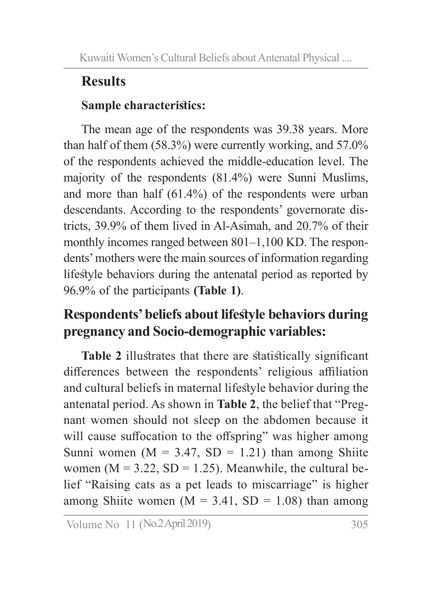# **Results**

### **Sample characteristics:**

The mean age of the respondents was 39.38 years. More than half of them (58.3%) were currently working, and 57.0% of the respondents achieved the middle-education level. The majority of the respondents (81.4%) were Sunni Muslims, and more than half (61.4%) of the respondents were urban descendants. According to the respondents' governorate districts, 39.9% of them lived in Al-Asimah, and 20.7% of their monthly incomes ranged between 801–1,100 KD. The respondents' mothers were the main sources of information regarding lifestyle behaviors during the antenatal period as reported by 96.9% of the participants **(Table 1)**.

### **Respondents' beliefs about lifestyle behaviors during pregnancy and Socio-demographic variables:**

**Table 2** illustrates that there are statistically significant differences between the respondents' religious affiliation and cultural beliefs in maternal lifestyle behavior during the antenatal period. As shown in **Table 2**, the belief that "Pregnant women should not sleep on the abdomen because it will cause suffocation to the offspring" was higher among Sunni women ( $M = 3.47$ , SD = 1.21) than among Shiite women ( $M = 3.22$ ,  $SD = 1.25$ ). Meanwhile, the cultural belief "Raising cats as a pet leads to miscarriage" is higher among Shiite women ( $M = 3.41$ , SD = 1.08) than among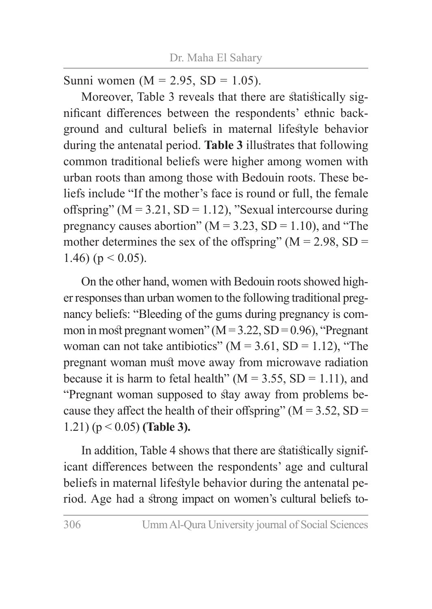Sunni women  $(M = 2.95, SD = 1.05)$ .

Moreover, Table 3 reveals that there are statistically significant differences between the respondents' ethnic background and cultural beliefs in maternal lifestyle behavior during the antenatal period. **Table 3** illustrates that following common traditional beliefs were higher among women with urban roots than among those with Bedouin roots. These beliefs include "If the mother's face is round or full, the female offspring" ( $M = 3.21$ ,  $SD = 1.12$ ), "Sexual intercourse during pregnancy causes abortion" ( $M = 3.23$ , SD = 1.10), and "The mother determines the sex of the offspring" ( $M = 2.98$ , SD = 1.46) ( $p < 0.05$ ).

On the other hand, women with Bedouin roots showed higher responses than urban women to the following traditional pregnancy beliefs: "Bleeding of the gums during pregnancy is common in most pregnant women"  $(M = 3.22, SD = 0.96)$ , "Pregnant woman can not take antibiotics" ( $M = 3.61$ , SD = 1.12), "The pregnant woman must move away from microwave radiation because it is harm to fetal health" ( $M = 3.55$ , SD = 1.11), and "Pregnant woman supposed to stay away from problems because they affect the health of their offspring" ( $M = 3.52$ , SD = 1.21) (p < 0.05) **(Table 3).**

In addition, Table 4 shows that there are statistically significant differences between the respondents' age and cultural beliefs in maternal lifestyle behavior during the antenatal period. Age had a strong impact on women's cultural beliefs to-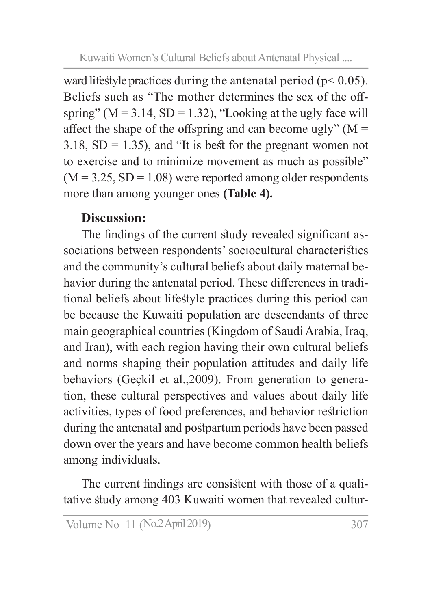ward lifestyle practices during the antenatal period ( $p < 0.05$ ). Beliefs such as "The mother determines the sex of the offspring" ( $M = 3.14$ ,  $SD = 1.32$ ), "Looking at the ugly face will affect the shape of the offspring and can become ugly"  $(M =$ 3.18,  $SD = 1.35$ ), and "It is best for the pregnant women not to exercise and to minimize movement as much as possible"  $(M = 3.25, SD = 1.08)$  were reported among older respondents more than among younger ones **(Table 4).**

#### **Discussion:**

The findings of the current study revealed significant associations between respondents' sociocultural characteristics and the community's cultural beliefs about daily maternal behavior during the antenatal period. These differences in traditional beliefs about lifestyle practices during this period can be because the Kuwaiti population are descendants of three main geographical countries (Kingdom of Saudi Arabia, Iraq, and Iran), with each region having their own cultural beliefs and norms shaping their population attitudes and daily life behaviors (Geçkil et al.,2009). From generation to generation, these cultural perspectives and values about daily life activities, types of food preferences, and behavior restriction during the antenatal and postpartum periods have been passed down over the years and have become common health beliefs among individuals.

The current findings are consistent with those of a qualitative study among 403 Kuwaiti women that revealed cultur-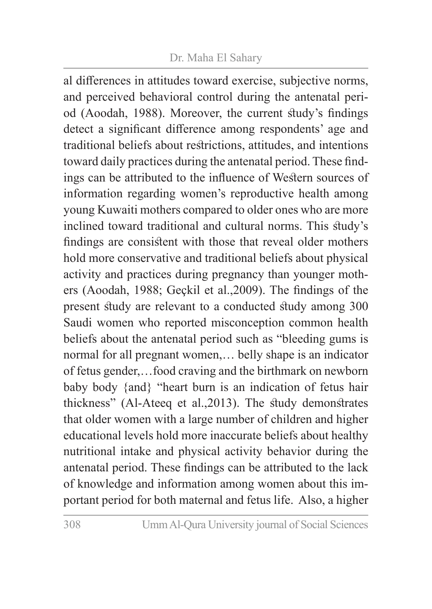#### Dr. Maha El Sahary

al differences in attitudes toward exercise, subjective norms, and perceived behavioral control during the antenatal period (Aoodah, 1988). Moreover, the current study's findings detect a significant difference among respondents' age and traditional beliefs about restrictions, attitudes, and intentions toward daily practices during the antenatal period. These findings can be attributed to the influence of Western sources of information regarding women's reproductive health among young Kuwaiti mothers compared to older ones who are more inclined toward traditional and cultural norms. This study's findings are consistent with those that reveal older mothers hold more conservative and traditional beliefs about physical activity and practices during pregnancy than younger mothers (Aoodah, 1988; Geçkil et al.,2009). The findings of the present study are relevant to a conducted study among 300 Saudi women who reported misconception common health beliefs about the antenatal period such as "bleeding gums is normal for all pregnant women,… belly shape is an indicator of fetus gender,…food craving and the birthmark on newborn baby body {and} "heart burn is an indication of fetus hair thickness" (Al-Ateeq et al.,2013). The study demonstrates that older women with a large number of children and higher educational levels hold more inaccurate beliefs about healthy nutritional intake and physical activity behavior during the antenatal period. These findings can be attributed to the lack of knowledge and information among women about this important period for both maternal and fetus life. Also, a higher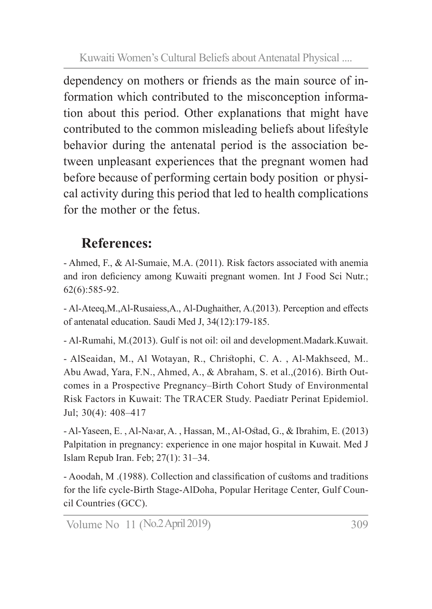dependency on mothers or friends as the main source of information which contributed to the misconception information about this period. Other explanations that might have contributed to the common misleading beliefs about lifestyle behavior during the antenatal period is the association between unpleasant experiences that the pregnant women had before because of performing certain body position or physical activity during this period that led to health complications for the mother or the fetus.

### **References:**

- Ahmed, F., & Al-Sumaie, M.A. (2011). Risk factors associated with anemia and iron deficiency among Kuwaiti pregnant women. Int J Food Sci Nutr.; 62(6):585-92.

- Al-Ateeq,M.,Al-Rusaiess,A., Al-Dughaither, A.(2013). Perception and effects of antenatal education. Saudi Med J, 34(12):179-185.

- Al-Rumahi, M.(2013). Gulf is not oil: oil and development.Madark.Kuwait.

- AlSeaidan, M., Al Wotayan, R., Christophi, C. A. , Al-Makhseed, M.. Abu Awad, Yara, F.N., Ahmed, A., & Abraham, S. et al.,(2016). Birth Outcomes in a Prospective Pregnancy–Birth Cohort Study of Environmental Risk Factors in Kuwait: The TRACER Study. Paediatr Perinat Epidemiol. Jul; 30(4): 408–417

- Al-Yaseen, E. , Al-Na›ar, A. , Hassan, M., Al-Ostad, G., & Ibrahim, E. (2013) Palpitation in pregnancy: experience in one major hospital in Kuwait. Med J Islam Repub Iran. Feb; 27(1): 31–34.

- Aoodah, M .(1988). Collection and classification of customs and traditions for the life cycle-Birth Stage-AlDoha, Popular Heritage Center, Gulf Council Countries (GCC).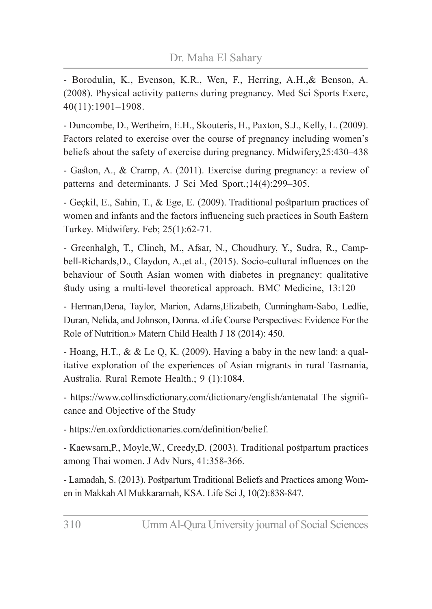- Borodulin, K., Evenson, K.R., Wen, F., Herring, A.H.,& Benson, A. (2008). Physical activity patterns during pregnancy. Med Sci Sports Exerc, 40(11):1901–1908.

- Duncombe, D., Wertheim, E.H., Skouteris, H., Paxton, S.J., Kelly, L. (2009). Factors related to exercise over the course of pregnancy including women's beliefs about the safety of exercise during pregnancy. Midwifery,25:430–438

- Gaston, A., & Cramp, A. (2011). Exercise during pregnancy: a review of patterns and determinants. J Sci Med Sport.;14(4):299–305.

- Geçkil, E., Sahin, T., & Ege, E. (2009). Traditional postpartum practices of women and infants and the factors influencing such practices in South Eastern Turkey. Midwifery. Feb; 25(1):62-71.

- Greenhalgh, T., Clinch, M., Afsar, N., Choudhury, Y., Sudra, R., Campbell-Richards,D., Claydon, A.,et al., (2015). Socio-cultural influences on the behaviour of South Asian women with diabetes in pregnancy: qualitative study using a multi-level theoretical approach. BMC Medicine, 13:120

- Herman,Dena, Taylor, Marion, Adams,Elizabeth, Cunningham-Sabo, Ledlie, Duran, Nelida, and Johnson, Donna. «Life Course Perspectives: Evidence For the Role of Nutrition.» Matern Child Health J 18 (2014): 450.

- Hoang, H.T., & & Le Q, K. (2009). Having a baby in the new land: a qualitative exploration of the experiences of Asian migrants in rural Tasmania, Australia. Rural Remote Health.; 9 (1):1084.

- https://www.collinsdictionary.com/dictionary/english/antenatal The significance and Objective of the Study

- https://en.oxforddictionaries.com/definition/belief.

- Kaewsarn,P., Moyle,W., Creedy,D. (2003). Traditional postpartum practices among Thai women. J Adv Nurs, 41:358-366.

- Lamadah, S. (2013). Postpartum Traditional Beliefs and Practices among Women in Makkah Al Mukkaramah, KSA. Life Sci J, 10(2):838-847.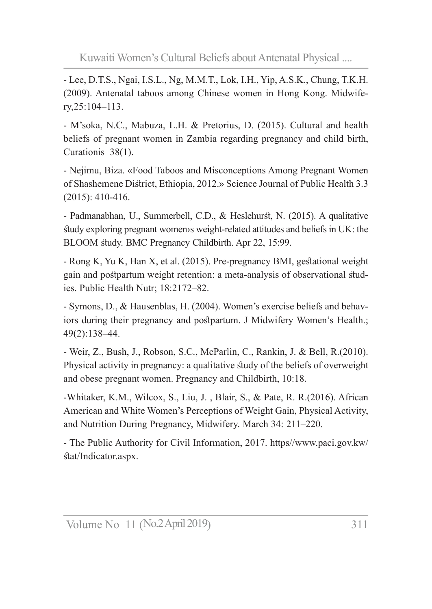- Lee, D.T.S., Ngai, I.S.L., Ng, M.M.T., Lok, I.H., Yip, A.S.K., Chung, T.K.H. (2009). Antenatal taboos among Chinese women in Hong Kong. Midwifery,25:104–113.

- M'soka, N.C., Mabuza, L.H. & Pretorius, D. (2015). Cultural and health beliefs of pregnant women in Zambia regarding pregnancy and child birth, Curationis 38(1).

- Nejimu, Biza. «Food Taboos and Misconceptions Among Pregnant Women of Shashemene District, Ethiopia, 2012.» Science Journal of Public Health 3.3 (2015): 410-416.

- Padmanabhan, U., Summerbell, C.D., & Heslehurst, N. (2015). A qualitative study exploring pregnant women›s weight-related attitudes and beliefs in UK: the BLOOM study. BMC Pregnancy Childbirth. Apr 22, 15:99.

- Rong K, Yu K, Han X, et al. (2015). Pre-pregnancy BMI, gestational weight gain and postpartum weight retention: a meta-analysis of observational studies. Public Health Nutr; 18:2172–82.

- Symons, D., & Hausenblas, H. (2004). Women's exercise beliefs and behaviors during their pregnancy and postpartum. J Midwifery Women's Health.; 49(2):138–44.

- Weir, Z., Bush, J., Robson, S.C., McParlin, C., Rankin, J. & Bell, R.(2010). Physical activity in pregnancy: a qualitative study of the beliefs of overweight and obese pregnant women. Pregnancy and Childbirth, 10:18.

-Whitaker, K.M., Wilcox, S., Liu, J. , Blair, S., & Pate, R. R.(2016). African American and White Women's Perceptions of Weight Gain, Physical Activity, and Nutrition During Pregnancy, Midwifery. March 34: 211–220.

- The Public Authority for Civil Information, 2017. https//www.paci.gov.kw/ stat/Indicator.aspx.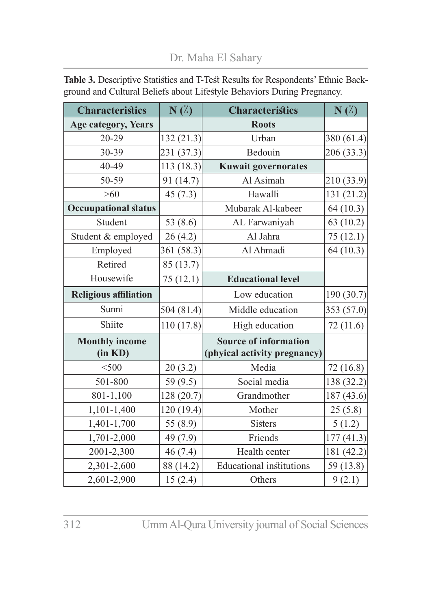Dr. Maha El Sahary

| <b>Characteristics</b>           | $N(\zeta)$ | <b>Characteristics</b>                                       | $N(\%)$    |
|----------------------------------|------------|--------------------------------------------------------------|------------|
| <b>Age category, Years</b>       |            | <b>Roots</b>                                                 |            |
| 20-29                            | 132 (21.3) | Urban                                                        | 380 (61.4) |
| 30-39                            | 231 (37.3) | Bedouin                                                      | 206 (33.3) |
| 40-49                            | 113(18.3)  | <b>Kuwait governorates</b>                                   |            |
| 50-59                            | 91 (14.7)  | Al Asimah                                                    | 210 (33.9) |
| $>60$                            | 45(7.3)    | Hawalli                                                      | 131 (21.2) |
| <b>Occuupational status</b>      |            | Mubarak Al-kabeer                                            | 64 (10.3)  |
| Student                          | 53 $(8.6)$ | AL Farwaniyah                                                | 63 (10.2)  |
| Student & employed               | 26(4.2)    | Al Jahra                                                     | 75(12.1)   |
| Employed                         | 361 (58.3) | Al Ahmadi                                                    | 64 (10.3)  |
| Retired                          | 85 (13.7)  |                                                              |            |
| Housewife                        | 75 (12.1)  | <b>Educational level</b>                                     |            |
| <b>Religious affiliation</b>     |            | Low education                                                | 190 (30.7) |
| Sunni                            | 504 (81.4) | Middle education                                             | 353 (57.0) |
| Shiite                           | 110 (17.8) | High education                                               | 72 (11.6)  |
| <b>Monthly income</b><br>(in KD) |            | <b>Source of information</b><br>(phyical activity pregnancy) |            |
|                                  |            |                                                              |            |
| $<$ 500                          | 20(3.2)    | Media                                                        | 72(16.8)   |
| 501-800                          | 59 (9.5)   | Social media                                                 | 138 (32.2) |
| 801-1,100                        | 128 (20.7) | Grandmother                                                  | 187 (43.6) |
| 1,101-1,400                      | 120 (19.4) | Mother                                                       | 25(5.8)    |
| 1,401-1,700                      | 55 (8.9)   | Sisters                                                      | 5(1.2)     |
| 1,701-2,000                      | 49 (7.9)   | Friends                                                      | 177 (41.3) |
| 2001-2,300                       | 46(7.4)    | Health center                                                | 181 (42.2) |
| 2,301-2,600                      | 88 (14.2)  | <b>Educational</b> institutions                              | 59 (13.8)  |
| 2,601-2,900                      | 15(2.4)    | Others                                                       | 9(2.1)     |

**Table 3.** Descriptive Statistics and T-Test Results for Respondents' Ethnic Background and Cultural Beliefs about Lifestyle Behaviors During Pregnancy.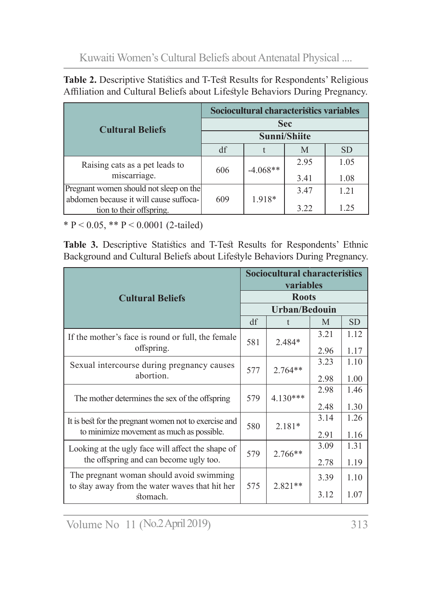| Table 2. Descriptive Statistics and T-Test Results for Respondents' Religious |
|-------------------------------------------------------------------------------|
| Affiliation and Cultural Beliefs about Lifestyle Behaviors During Pregnancy.  |

|                                                                    |     | Sociocultural characteristics variables |              |           |
|--------------------------------------------------------------------|-----|-----------------------------------------|--------------|-----------|
| <b>Cultural Beliefs</b>                                            |     |                                         | <b>Sec</b>   |           |
|                                                                    |     |                                         | Sunni/Shiite |           |
|                                                                    | df  |                                         | M            | <b>SD</b> |
| Raising cats as a pet leads to                                     | 606 | $-4.068**$                              | 2.95         | 1.05      |
| miscarriage.                                                       |     |                                         | 3.41         | 1.08      |
| Pregnant women should not sleep on the                             |     |                                         | 3.47         | 1.21      |
| abdomen because it will cause suffoca-<br>tion to their offspring. | 609 | $1.918*$                                | 3.22         | 1.25      |

\* P < 0.05, \*\* P < 0.0001 (2-tailed)

**Table 3.** Descriptive Statistics and T-Test Results for Respondents' Ethnic Background and Cultural Beliefs about Lifestyle Behaviors During Pregnancy.

|                                                                                            |     | <b>Sociocultural characteristics</b><br>variables |      |           |
|--------------------------------------------------------------------------------------------|-----|---------------------------------------------------|------|-----------|
| <b>Cultural Beliefs</b>                                                                    |     | <b>Roots</b>                                      |      |           |
|                                                                                            |     | Urban/Bedouin                                     |      |           |
|                                                                                            | df  | t.                                                | M    | <b>SD</b> |
| If the mother's face is round or full, the female                                          | 581 | 2.484*                                            | 3.21 | 1.12      |
| offspring.                                                                                 |     |                                                   | 2.96 | 1.17      |
| Sexual intercourse during pregnancy causes                                                 | 577 | $2.764**$                                         | 3.23 | 1.10      |
| abortion.                                                                                  |     |                                                   | 2.98 | 1.00      |
| The mother determines the sex of the offspring                                             | 579 | $4.130***$                                        | 2.98 | 1.46      |
|                                                                                            |     |                                                   | 2.48 | 1.30      |
| It is best for the pregnant women not to exercise and                                      | 580 | $2.181*$                                          | 3.14 | 1.26      |
| to minimize movement as much as possible.                                                  |     |                                                   | 2.91 | 1.16      |
| Looking at the ugly face will affect the shape of                                          | 579 | $2.766**$                                         | 3.09 | 1.31      |
| the offspring and can become ugly too.                                                     |     |                                                   | 2.78 | 1.19      |
| The pregnant woman should avoid swimming<br>to stay away from the water waves that hit her | 575 | $2.821**$                                         | 3.39 | 1.10      |
| stomach.                                                                                   |     |                                                   | 3.12 | 1.07      |

Volume No 11 (No.2 April 2019) 313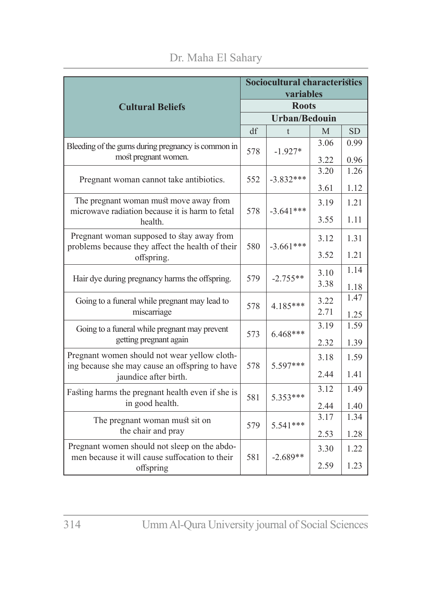|                                                                                                |     | <b>Sociocultural characteristics</b><br>variables |              |              |
|------------------------------------------------------------------------------------------------|-----|---------------------------------------------------|--------------|--------------|
| <b>Cultural Beliefs</b>                                                                        |     | <b>Roots</b>                                      |              |              |
|                                                                                                |     | <b>Urban/Bedouin</b>                              |              |              |
|                                                                                                | df  | $\mathbf{t}$                                      | M            | <b>SD</b>    |
| Bleeding of the gums during pregnancy is common in<br>most pregnant women.                     | 578 | $-1.927*$                                         | 3.06<br>3.22 | 0.99<br>0.96 |
|                                                                                                |     |                                                   | 3.20         | 1.26         |
| Pregnant woman cannot take antibiotics.                                                        | 552 | $-3.832***$                                       | 3.61         | 1.12         |
| The pregnant woman must move away from                                                         |     |                                                   |              |              |
| microwave radiation because it is harm to fetal                                                | 578 | $-3.641***$                                       | 3.19         | 1.21         |
| health.                                                                                        |     |                                                   | 3.55         | 1.11         |
| Pregnant woman supposed to stay away from<br>problems because they affect the health of their  | 580 | $-3.661***$                                       | 3.12         | 1.31         |
| offspring.                                                                                     |     |                                                   | 3.52         | 1.21         |
| Hair dye during pregnancy harms the offspring.                                                 | 579 | $-2.755**$                                        | 3.10         | 1.14         |
|                                                                                                |     |                                                   | 3.38         | 1.18         |
| Going to a funeral while pregnant may lead to                                                  |     |                                                   | 3.22         | 1.47         |
| miscarriage                                                                                    | 578 | 4.185***                                          | 2.71         | 1.25         |
| Going to a funeral while pregnant may prevent                                                  | 573 | $6.468***$                                        | 3.19         | 1.59         |
| getting pregnant again                                                                         |     |                                                   | 2.32         | 1.39         |
| Pregnant women should not wear yellow cloth-<br>ing because she may cause an offspring to have | 578 | 5.597***                                          | 3.18         | 1.59         |
| jaundice after birth.                                                                          |     |                                                   | 2.44         | 1.41         |
| Fasting harms the pregnant health even if she is                                               | 581 | 5.353***                                          | 3.12         | 1.49         |
| in good health.                                                                                |     |                                                   | 2.44         | 1.40         |
| The pregnant woman must sit on                                                                 | 579 | $5.541***$                                        | 3.17         | 1.34         |
| the chair and pray                                                                             |     |                                                   | 2.53         | 1.28         |
| Pregnant women should not sleep on the abdo-<br>men because it will cause suffocation to their | 581 | $-2.689**$                                        | 3.30         | 1.22         |
| offspring                                                                                      |     |                                                   | 2.59         | 1.23         |

#### Dr. Maha El Sahary